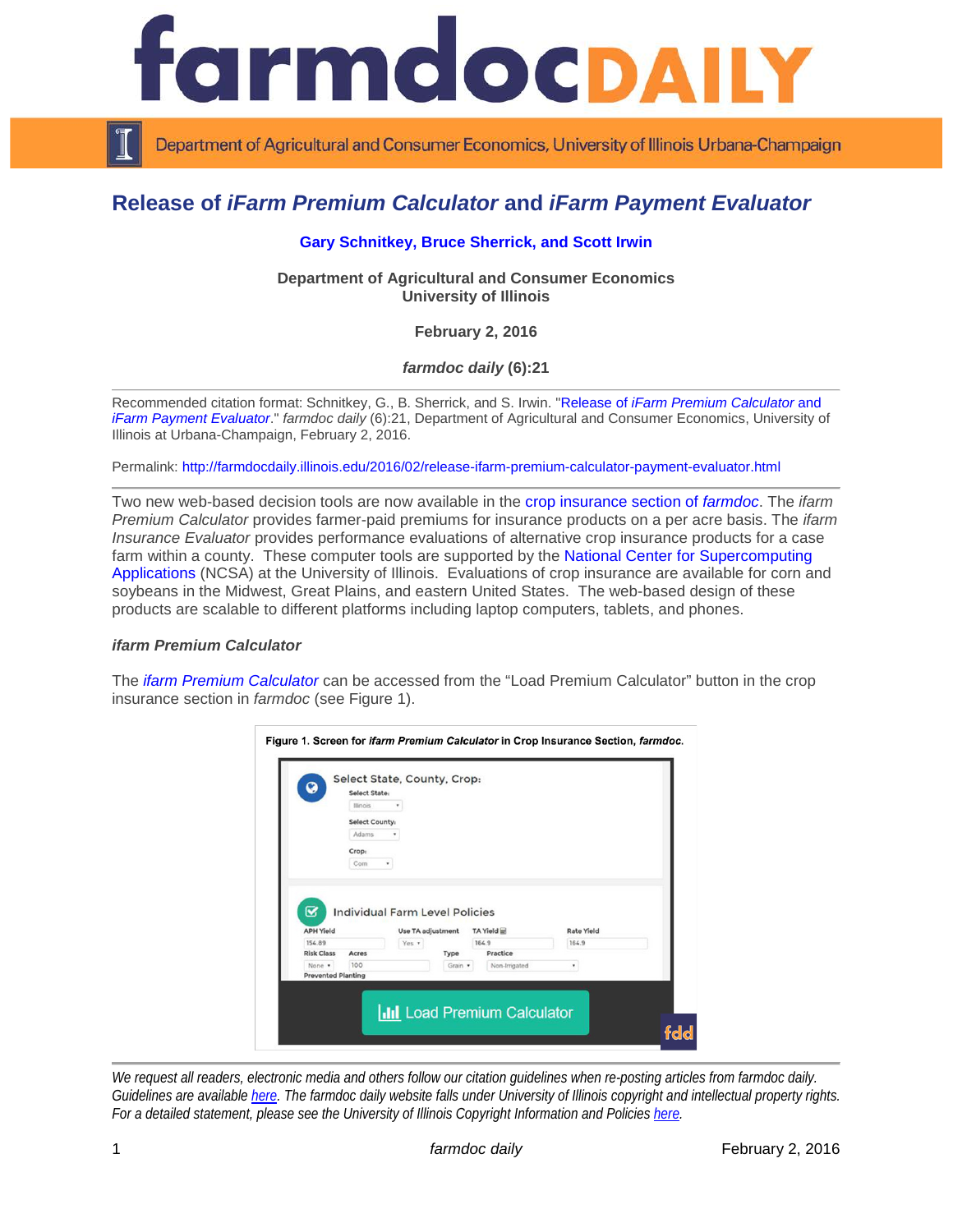

Department of Agricultural and Consumer Economics, University of Illinois Urbana-Champaign

# **Release of** *iFarm Premium Calculator* **and** *iFarm Payment Evaluator*

## **[Gary Schnitkey,](http://farmdoc.illinois.edu/schnitkey) [Bruce Sherrick,](http://farmdoc.illinois.edu/sherrick) and [Scott Irwin](http://farmdoc.illinois.edu/irwin)**

**Department of Agricultural and Consumer Economics University of Illinois**

**February 2, 2016**

*farmdoc daily* **(6):21**

Recommended citation format: Schnitkey, G., B. Sherrick, and S. Irwin. "Release of *[iFarm Premium Calculator](http://farmdocdaily.illinois.edu/2016/02/release-ifarm-premium-calculator-payment-evaluator.html)* and *[iFarm Payment Evaluator](http://farmdocdaily.illinois.edu/2016/02/release-ifarm-premium-calculator-payment-evaluator.html)*." *farmdoc daily* (6):21, Department of Agricultural and Consumer Economics, University of Illinois at Urbana-Champaign, February 2, 2016.

Permalink: <http://farmdocdaily.illinois.edu/2016/02/release-ifarm-premium-calculator-payment-evaluator.html>

Two new web-based decision tools are now available in the [crop insurance section of](http://farmdoc.illinois.edu/cropins/) *farmdoc*. The *ifarm Premium Calculator* provides farmer-paid premiums for insurance products on a per acre basis. The *ifarm Insurance Evaluator* provides performance evaluations of alternative crop insurance products for a case farm within a county. These computer tools are supported by the National Center for Supercomputing [Applications](http://www.ncsa.illinois.edu/) (NCSA) at the University of Illinois. Evaluations of crop insurance are available for corn and soybeans in the Midwest, Great Plains, and eastern United States. The web-based design of these products are scalable to different platforms including laptop computers, tablets, and phones.

#### *ifarm Premium Calculator*

The *[ifarm Premium Calculator](http://farmdoc.illinois.edu/cropins/index.asp)* can be accessed from the "Load Premium Calculator" button in the crop insurance section in *farmdoc* (see Figure 1).

|                             | <b>Select State:</b><br><b>Illinois</b> |                                                                   |                 |                           |                   |  |
|-----------------------------|-----------------------------------------|-------------------------------------------------------------------|-----------------|---------------------------|-------------------|--|
|                             | <b>Select County:</b>                   |                                                                   |                 |                           |                   |  |
|                             | Adams                                   |                                                                   |                 |                           |                   |  |
|                             | Crop:                                   |                                                                   |                 |                           |                   |  |
|                             | Com                                     | ۰                                                                 |                 |                           |                   |  |
| ☑<br><b>APH Yield</b>       |                                         | <b>Individual Farm Level Policies</b><br><b>Use TA adjustment</b> |                 | TA Yield                  | <b>Rate Yield</b> |  |
| 154.89                      |                                         | Yes *                                                             |                 | 164.9                     | 164.9             |  |
| <b>Risk Class</b><br>None * | Acres<br>100                            |                                                                   | Type<br>Grain * | Practice<br>Non-Irrigated |                   |  |

*We request all readers, electronic media and others follow our citation guidelines when re-posting articles from farmdoc daily. Guidelines are available [here.](http://farmdocdaily.illinois.edu/citationguide.html) The farmdoc daily website falls under University of Illinois copyright and intellectual property rights. For a detailed statement, please see the University of Illinois Copyright Information and Policies [here.](http://www.cio.illinois.edu/policies/copyright/)*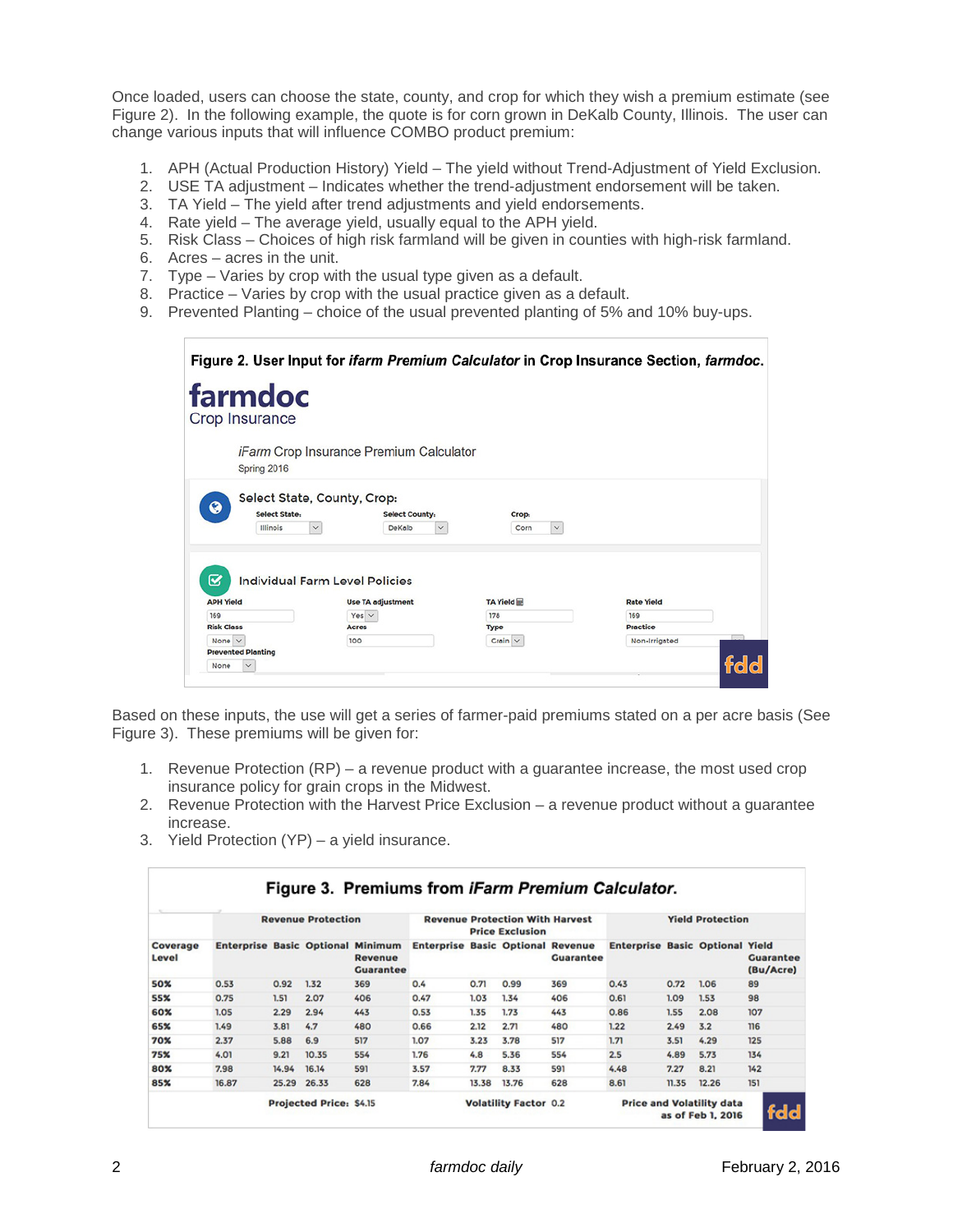Once loaded, users can choose the state, county, and crop for which they wish a premium estimate (see Figure 2). In the following example, the quote is for corn grown in DeKalb County, Illinois. The user can change various inputs that will influence COMBO product premium:

- 1. APH (Actual Production History) Yield The yield without Trend-Adjustment of Yield Exclusion.
- 2. USE TA adjustment Indicates whether the trend-adjustment endorsement will be taken.
- 3. TA Yield The yield after trend adjustments and yield endorsements.
- 4. Rate yield The average yield, usually equal to the APH yield.
- 5. Risk Class Choices of high risk farmland will be given in counties with high-risk farmland.
- 6. Acres acres in the unit.
- 7. Type Varies by crop with the usual type given as a default.
- 8. Practice Varies by crop with the usual practice given as a default.
- 9. Prevented Planting choice of the usual prevented planting of 5% and 10% buy-ups.

|                                          |                                                                                                |                               | Figure 2. User Input for <i>ifarm Premium Calculator</i> in Crop Insurance Section, <i>farmdoc.</i> |
|------------------------------------------|------------------------------------------------------------------------------------------------|-------------------------------|-----------------------------------------------------------------------------------------------------|
| farmdoc<br>Crop Insurance                |                                                                                                |                               |                                                                                                     |
| Spring 2016                              | <i>iFarm</i> Crop Insurance Premium Calculator                                                 |                               |                                                                                                     |
| ◕<br><b>Select State:</b><br>Illinois    | Select State, County, Crop:<br><b>Select County:</b><br>$\checkmark$<br>DeKalb<br>$\checkmark$ | Crop:<br>$\checkmark$<br>Corn |                                                                                                     |
| જ<br><b>APH Yield</b>                    | <b>Individual Farm Level Policies</b><br><b>Use TA adjustment</b>                              | TA Yield                      | <b>Rate Yield</b>                                                                                   |
| 169                                      | Yes $\vee$                                                                                     | 178                           | 169                                                                                                 |
| <b>Risk Class</b>                        | <b>Acres</b>                                                                                   | <b>Type</b>                   | <b>Practice</b>                                                                                     |
| None $\vee$<br><b>Prevented Planting</b> | 100                                                                                            | Crain $\vee$                  | Non-Irrigated<br>fdd                                                                                |

Based on these inputs, the use will get a series of farmer-paid premiums stated on a per acre basis (See Figure 3). These premiums will be given for:

- 1. Revenue Protection (RP) a revenue product with a guarantee increase, the most used crop insurance policy for grain crops in the Midwest.
- 2. Revenue Protection with the Harvest Price Exclusion a revenue product without a guarantee increase.
- 3. Yield Protection (YP) a yield insurance.

| Coverage<br>Level | <b>Revenue Protection</b>                |       |       |                             | <b>Revenue Protection With Harvest</b><br><b>Price Exclusion</b> |       |       |                  | <b>Yield Protection</b>                |       |       |                               |
|-------------------|------------------------------------------|-------|-------|-----------------------------|------------------------------------------------------------------|-------|-------|------------------|----------------------------------------|-------|-------|-------------------------------|
|                   | <b>Enterprise Basic Optional Minimum</b> |       |       | Revenue<br><b>Guarantee</b> | <b>Enterprise Basic Optional Revenue</b>                         |       |       | <b>Guarantee</b> | <b>Enterprise Basic Optional Yield</b> |       |       | <b>Guarantee</b><br>(Bu/Acre) |
| 50%               | 0.53                                     | 0.92  | 1.32  | 369                         | 0.4                                                              | 0.71  | 0.99  | 369              | 0.43                                   | 0.72  | 1.06  | 89                            |
| <b>55%</b>        | 0.75                                     | 1.51  | 2.07  | 406                         | 0.47                                                             | 1.03  | 1.34  | 406              | 0.61                                   | 1.09  | 1.53  | 98                            |
| 60%               | 1.05                                     | 2.29  | 2.94  | 443                         | 0.53                                                             | 1.35  | 1.73  | 443              | 0.86                                   | 1.55  | 2.08  | 107                           |
| 65%               | 1.49                                     | 3.81  | 4.7   | 480                         | 0.66                                                             | 2.12  | 2.71  | 480              | 1.22                                   | 2.49  | 3.2   | $116$                         |
| 70%               | 2.37                                     | 5.88  | 6.9   | 517                         | 1.07                                                             | 3.23  | 3.78  | 517              | 1.71                                   | 3.51  | 4.29  | 125                           |
| 75%               | 4.01                                     | 9.21  | 10.35 | 554                         | 1.76                                                             | 4.8   | 5.36  | 554              | 2.5                                    | 4.89  | 5.73  | 134                           |
| 80%               | 7.98                                     | 14.94 | 16.14 | 591                         | 3.57                                                             | 7.77  | 8.33  | 591              | 4.48                                   | 7.27  | 8.21  | 142                           |
| 85%               | 16.87                                    | 25.29 | 26.33 | 628                         | 7.84                                                             | 13.38 | 13.76 | 628              | 8.61                                   | 11.35 | 12.26 | 151                           |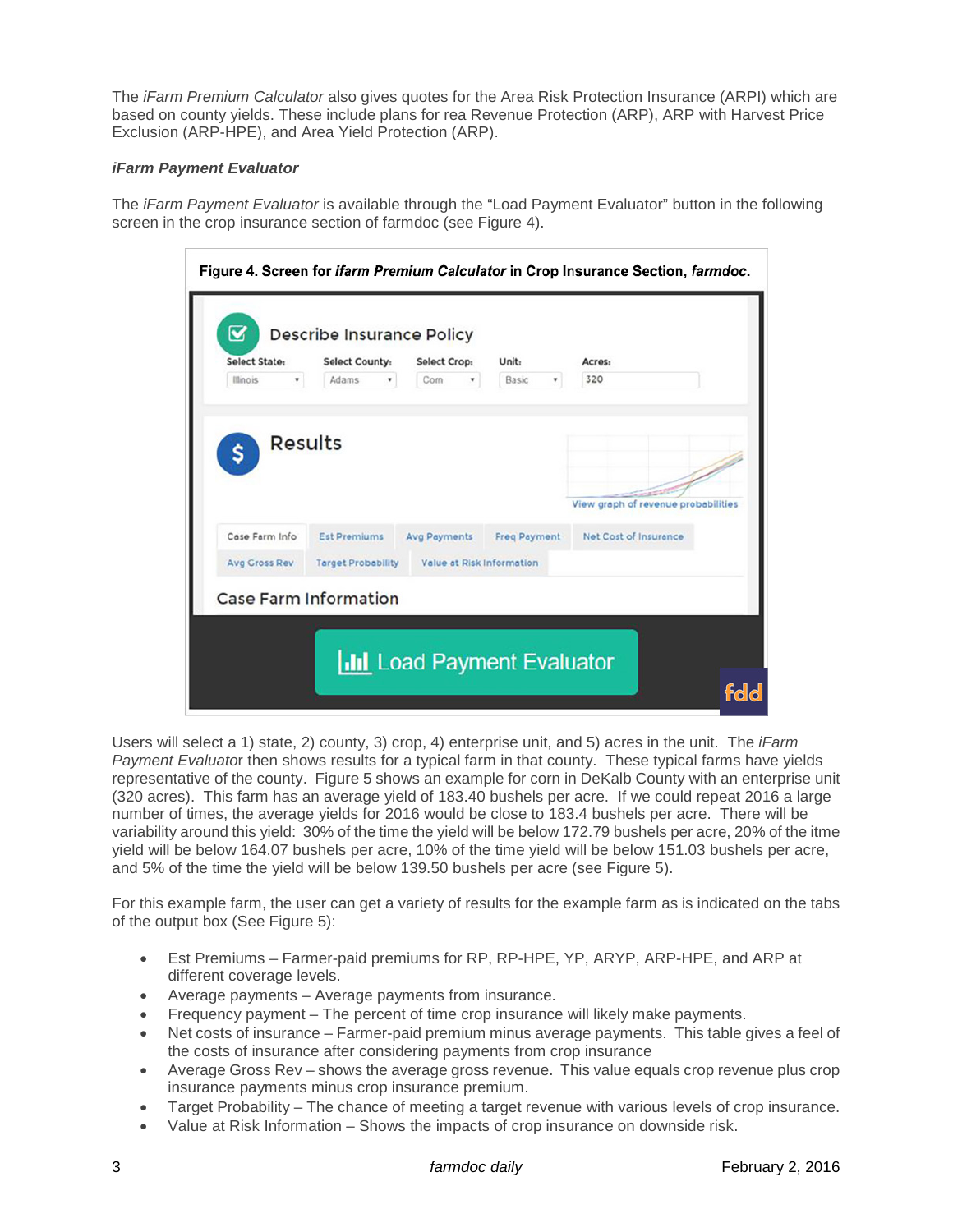The *iFarm Premium Calculator* also gives quotes for the Area Risk Protection Insurance (ARPI) which are based on county yields. These include plans for rea Revenue Protection (ARP), ARP with Harvest Price Exclusion (ARP-HPE), and Area Yield Protection (ARP).

#### *iFarm Payment Evaluator*

The *iFarm Payment Evaluator* is available through the "Load Payment Evaluator" button in the following screen in the crop insurance section of farmdoc (see Figure 4).

| Select State:<br>Illinois<br>۰ | <b>Select County:</b><br>Adams<br>۰ | Select Crop:<br>Corn<br>۰ | Unit:<br>Basic<br>۰ | Acres:<br>320                       |
|--------------------------------|-------------------------------------|---------------------------|---------------------|-------------------------------------|
| <b>Results</b><br>Ś            |                                     |                           |                     | View graph of revenue probabilities |
| Case Farm Info                 | <b>Est Premiums</b>                 | <b>Avg Payments</b>       | <b>Freq Payment</b> | Net Cost of Insurance               |
| Avg Cross Rev                  | <b>Target Probability</b>           | Value at Risk Information |                     |                                     |

Users will select a 1) state, 2) county, 3) crop, 4) enterprise unit, and 5) acres in the unit. The *iFarm Payment Evaluato*r then shows results for a typical farm in that county. These typical farms have yields representative of the county. Figure 5 shows an example for corn in DeKalb County with an enterprise unit (320 acres). This farm has an average yield of 183.40 bushels per acre. If we could repeat 2016 a large number of times, the average yields for 2016 would be close to 183.4 bushels per acre. There will be variability around this yield: 30% of the time the yield will be below 172.79 bushels per acre, 20% of the itme yield will be below 164.07 bushels per acre, 10% of the time yield will be below 151.03 bushels per acre, and 5% of the time the yield will be below 139.50 bushels per acre (see Figure 5).

For this example farm, the user can get a variety of results for the example farm as is indicated on the tabs of the output box (See Figure 5):

- Est Premiums Farmer-paid premiums for RP, RP-HPE, YP, ARYP, ARP-HPE, and ARP at different coverage levels.
- Average payments Average payments from insurance.
- Frequency payment The percent of time crop insurance will likely make payments.
- Net costs of insurance Farmer-paid premium minus average payments. This table gives a feel of the costs of insurance after considering payments from crop insurance
- Average Gross Rev shows the average gross revenue. This value equals crop revenue plus crop insurance payments minus crop insurance premium.
- Target Probability The chance of meeting a target revenue with various levels of crop insurance.
- Value at Risk Information Shows the impacts of crop insurance on downside risk.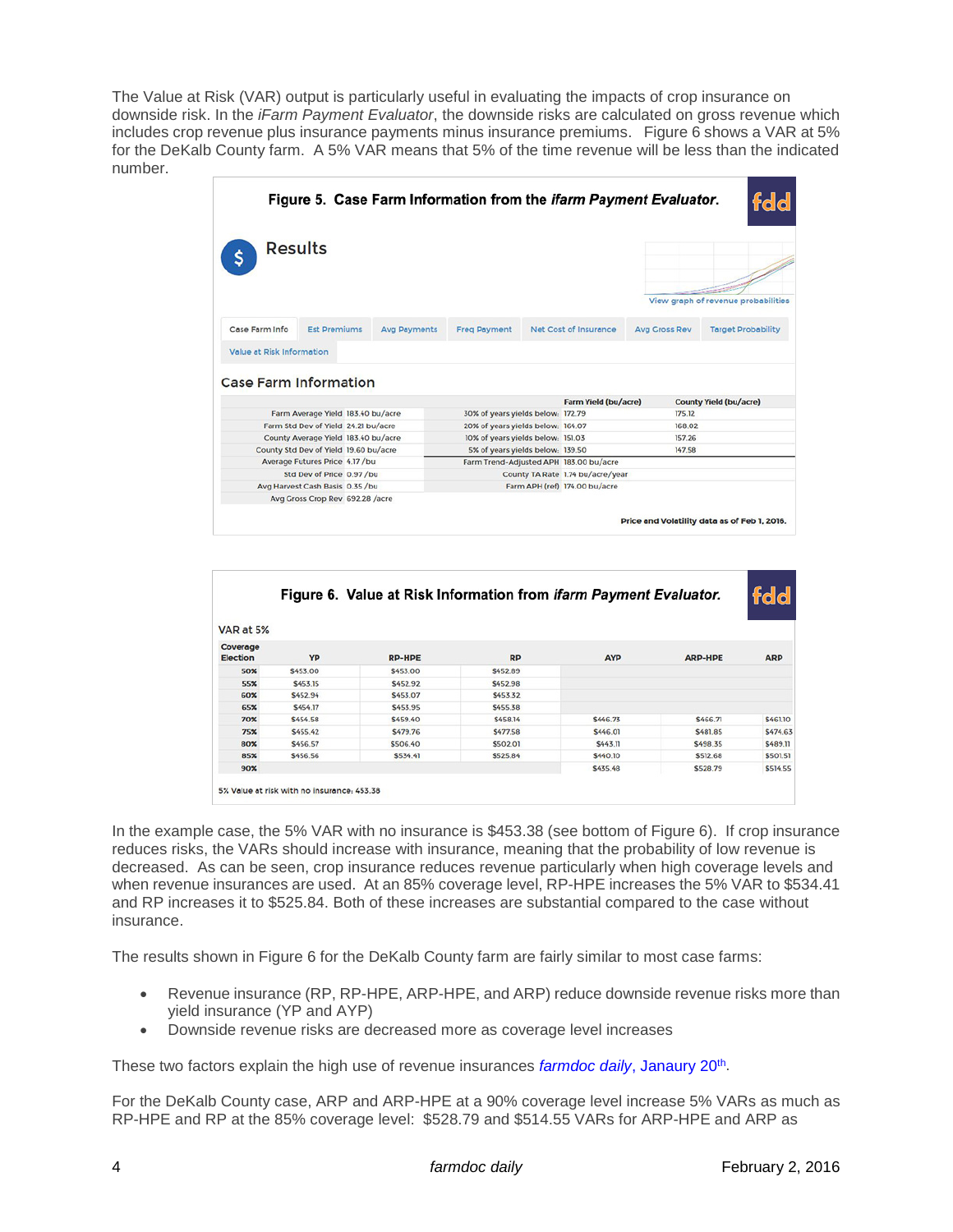The Value at Risk (VAR) output is particularly useful in evaluating the impacts of crop insurance on downside risk. In the *iFarm Payment Evaluator*, the downside risks are calculated on gross revenue which includes crop revenue plus insurance payments minus insurance premiums. Figure 6 shows a VAR at 5% for the DeKalb County farm. A 5% VAR means that 5% of the time revenue will be less than the indicated number.

|                              |                                 |                                       |                     | Figure 5. Case Farm Information from the <i>ifarm Payment Evaluator</i> . |                                        |                      | fdd                                 |
|------------------------------|---------------------------------|---------------------------------------|---------------------|---------------------------------------------------------------------------|----------------------------------------|----------------------|-------------------------------------|
| <b>Results</b>               |                                 |                                       |                     |                                                                           |                                        |                      | View graph of revenue probabilities |
| Case Farm Info               | <b>Est Premiums</b>             |                                       | <b>Avg Payments</b> | <b>Freg Payment</b>                                                       | Net Cost of Insurance                  | <b>Avg Cross Rev</b> | <b>Target Probability</b>           |
| Value at Risk Information    |                                 |                                       |                     |                                                                           |                                        |                      |                                     |
| <b>Case Farm Information</b> |                                 |                                       |                     |                                                                           |                                        |                      |                                     |
|                              |                                 |                                       |                     |                                                                           | <b>Farm Yield (bu/acre)</b>            |                      | <b>County Yield (bu/acre)</b>       |
|                              |                                 | Farm Average Yield 183.40 bu/acre     |                     | 30% of years yields below: 172.79                                         |                                        | 175.12               |                                     |
|                              |                                 | Farm Std Dev of Yield 24.21 bu/acre   |                     | 20% of years yields below: 164.07                                         |                                        | 168.02               |                                     |
|                              |                                 | County Average Yield 183.40 bu/acre   |                     | 10% of years yields below: 151.03                                         |                                        | 157.26               |                                     |
|                              |                                 | County Std Dev of Yield 19.60 bu/acre |                     | 5% of years yields below: 139.50                                          |                                        | 147.58               |                                     |
|                              | Average Futures Price 4.17 /bu  |                                       |                     |                                                                           | Farm Trend-Adjusted APH 183.00 bu/acre |                      |                                     |
|                              | Std Dev of Price 0.97 /bu       |                                       |                     |                                                                           | County TA Rate 1.74 bu/acre/year       |                      |                                     |
|                              | Avg Harvest Cash Basis 0.35 /bu |                                       |                     |                                                                           | Farm APH (ref) 174.00 bu/acre          |                      |                                     |
|                              |                                 | Avg Gross Crop Rev 692.28 /acre       |                     |                                                                           |                                        |                      |                                     |

|                             |          | Figure 6. Value at Risk Information from <i>ifarm Payment Evaluator.</i> |                |                |                | fdd            |
|-----------------------------|----------|--------------------------------------------------------------------------|----------------|----------------|----------------|----------------|
| VAR at 5%                   |          |                                                                          |                |                |                |                |
| Coverage<br><b>Election</b> | YP       | <b>RP-HPE</b>                                                            | <b>RP</b>      | <b>AYP</b>     | <b>ARP-HPE</b> | <b>ARP</b>     |
| 50%                         | \$453.00 | \$453.00                                                                 | \$452.89       |                |                |                |
| 55%                         | \$453.15 | \$452.92                                                                 | <b>S452.98</b> |                |                |                |
| 60%                         | \$452.94 | \$453.07                                                                 | S453.32        |                |                |                |
| 65%                         | \$454.17 | \$453.95                                                                 | \$455.38       |                |                |                |
| 70%                         | \$454.58 | \$459.40                                                                 | \$458.14       | \$446.73       | \$466.71       | \$461.10       |
| 75%                         | \$455.42 | S479.76                                                                  | <b>S477.58</b> | \$446.01       | <b>S481.85</b> | \$474.63       |
| 80%                         | \$456.57 | \$506.40                                                                 | \$502.01       | S443.11        | <b>S498.35</b> | <b>S489.11</b> |
| 85%                         | \$456.56 | \$534.41                                                                 | \$525.84       | <b>S440.10</b> | \$512.68       | \$501.51       |
| 90 <sup>2</sup>             |          |                                                                          |                | \$435.48       | \$528.79       | \$514.55       |

In the example case, the 5% VAR with no insurance is \$453.38 (see bottom of Figure 6). If crop insurance reduces risks, the VARs should increase with insurance, meaning that the probability of low revenue is decreased. As can be seen, crop insurance reduces revenue particularly when high coverage levels and when revenue insurances are used. At an 85% coverage level, RP-HPE increases the 5% VAR to \$534.41 and RP increases it to \$525.84. Both of these increases are substantial compared to the case without insurance.

The results shown in Figure 6 for the DeKalb County farm are fairly similar to most case farms:

- Revenue insurance (RP, RP-HPE, ARP-HPE, and ARP) reduce downside revenue risks more than yield insurance (YP and AYP)
- Downside revenue risks are decreased more as coverage level increases

These two factors explain the high use of revenue insurances *farmdoc daily*[, Janaury 20th.](http://farmdocdaily.illinois.edu/2016/01/crop-insurance-premiums-and-use-2015-and-2016.html)

For the DeKalb County case, ARP and ARP-HPE at a 90% coverage level increase 5% VARs as much as RP-HPE and RP at the 85% coverage level: \$528.79 and \$514.55 VARs for ARP-HPE and ARP as